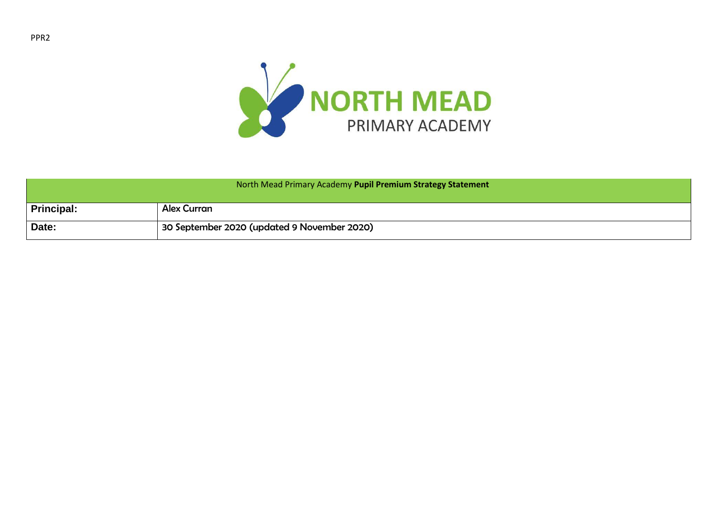

| North Mead Primary Academy Pupil Premium Strategy Statement |                                             |  |  |
|-------------------------------------------------------------|---------------------------------------------|--|--|
| Principal:                                                  | <b>Alex Curran</b>                          |  |  |
| Date:                                                       | 30 September 2020 (updated 9 November 2020) |  |  |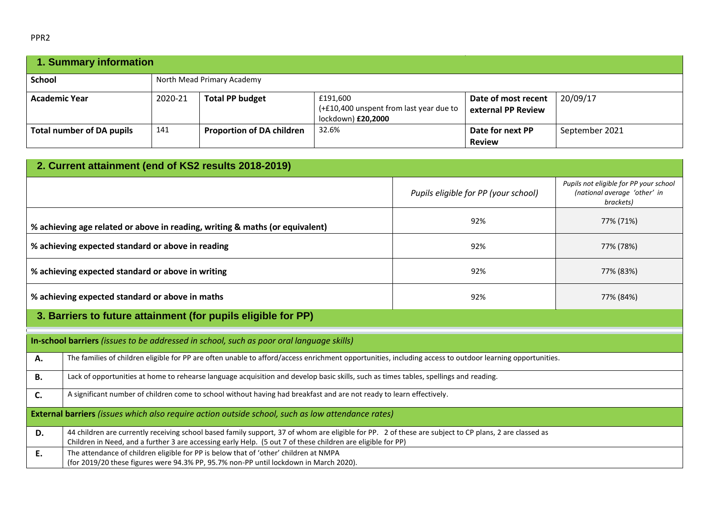|--|

| 1. Summary information           |         |                                  |                                                                           |                                           |                |  |
|----------------------------------|---------|----------------------------------|---------------------------------------------------------------------------|-------------------------------------------|----------------|--|
| <b>School</b>                    |         | North Mead Primary Academy       |                                                                           |                                           |                |  |
| <b>Academic Year</b>             | 2020-21 | <b>Total PP budget</b>           | £191,600<br>(+£10,400 unspent from last year due to<br>lockdown) £20,2000 | Date of most recent<br>external PP Review | 20/09/17       |  |
| <b>Total number of DA pupils</b> | 141     | <b>Proportion of DA children</b> | 32.6%                                                                     | Date for next PP<br><b>Review</b>         | September 2021 |  |

| 2. Current attainment (end of KS2 results 2018-2019)                                                                       |                                                                                                                                                                                                                                                                      |                                      |                                                                                     |  |  |  |  |
|----------------------------------------------------------------------------------------------------------------------------|----------------------------------------------------------------------------------------------------------------------------------------------------------------------------------------------------------------------------------------------------------------------|--------------------------------------|-------------------------------------------------------------------------------------|--|--|--|--|
|                                                                                                                            |                                                                                                                                                                                                                                                                      | Pupils eligible for PP (your school) | Pupils not eligible for PP your school<br>(national average 'other' in<br>brackets) |  |  |  |  |
| 92%<br>77% (71%)<br>% achieving age related or above in reading, writing & maths (or equivalent)                           |                                                                                                                                                                                                                                                                      |                                      |                                                                                     |  |  |  |  |
| % achieving expected standard or above in reading<br>92%<br>77% (78%)                                                      |                                                                                                                                                                                                                                                                      |                                      |                                                                                     |  |  |  |  |
|                                                                                                                            | % achieving expected standard or above in writing<br>92%<br>77% (83%)                                                                                                                                                                                                |                                      |                                                                                     |  |  |  |  |
|                                                                                                                            | % achieving expected standard or above in maths<br>92%<br>77% (84%)                                                                                                                                                                                                  |                                      |                                                                                     |  |  |  |  |
|                                                                                                                            | 3. Barriers to future attainment (for pupils eligible for PP)                                                                                                                                                                                                        |                                      |                                                                                     |  |  |  |  |
|                                                                                                                            | In-school barriers (issues to be addressed in school, such as poor oral language skills)                                                                                                                                                                             |                                      |                                                                                     |  |  |  |  |
| А.                                                                                                                         | The families of children eligible for PP are often unable to afford/access enrichment opportunities, including access to outdoor learning opportunities.                                                                                                             |                                      |                                                                                     |  |  |  |  |
| В.                                                                                                                         | Lack of opportunities at home to rehearse language acquisition and develop basic skills, such as times tables, spellings and reading.                                                                                                                                |                                      |                                                                                     |  |  |  |  |
| A significant number of children come to school without having had breakfast and are not ready to learn effectively.<br>C. |                                                                                                                                                                                                                                                                      |                                      |                                                                                     |  |  |  |  |
| <b>External barriers</b> (issues which also require action outside school, such as low attendance rates)                   |                                                                                                                                                                                                                                                                      |                                      |                                                                                     |  |  |  |  |
| D.                                                                                                                         | 44 children are currently receiving school based family support, 37 of whom are eligible for PP. 2 of these are subject to CP plans, 2 are classed as<br>Children in Need, and a further 3 are accessing early Help. (5 out 7 of these children are eligible for PP) |                                      |                                                                                     |  |  |  |  |
| Ε.                                                                                                                         | The attendance of children eligible for PP is below that of 'other' children at NMPA<br>(for 2019/20 these figures were 94.3% PP, 95.7% non-PP until lockdown in March 2020).                                                                                        |                                      |                                                                                     |  |  |  |  |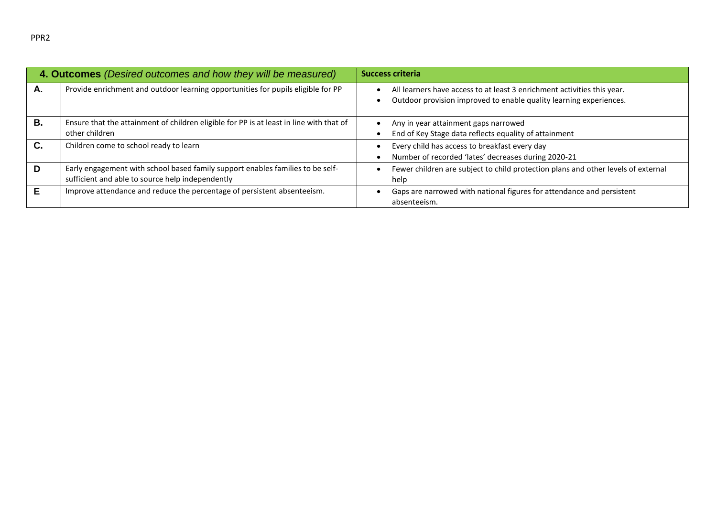|    | 4. Outcomes (Desired outcomes and how they will be measured)                                                                       | <b>Success criteria</b>                                                                                                                       |
|----|------------------------------------------------------------------------------------------------------------------------------------|-----------------------------------------------------------------------------------------------------------------------------------------------|
| А. | Provide enrichment and outdoor learning opportunities for pupils eligible for PP                                                   | All learners have access to at least 3 enrichment activities this year.<br>Outdoor provision improved to enable quality learning experiences. |
| В. | Ensure that the attainment of children eligible for PP is at least in line with that of<br>other children                          | Any in year attainment gaps narrowed<br>End of Key Stage data reflects equality of attainment                                                 |
| C. | Children come to school ready to learn                                                                                             | Every child has access to breakfast every day<br>Number of recorded 'lates' decreases during 2020-21                                          |
| D  | Early engagement with school based family support enables families to be self-<br>sufficient and able to source help independently | Fewer children are subject to child protection plans and other levels of external<br>help                                                     |
|    | Improve attendance and reduce the percentage of persistent absenteeism.                                                            | Gaps are narrowed with national figures for attendance and persistent<br>absenteeism.                                                         |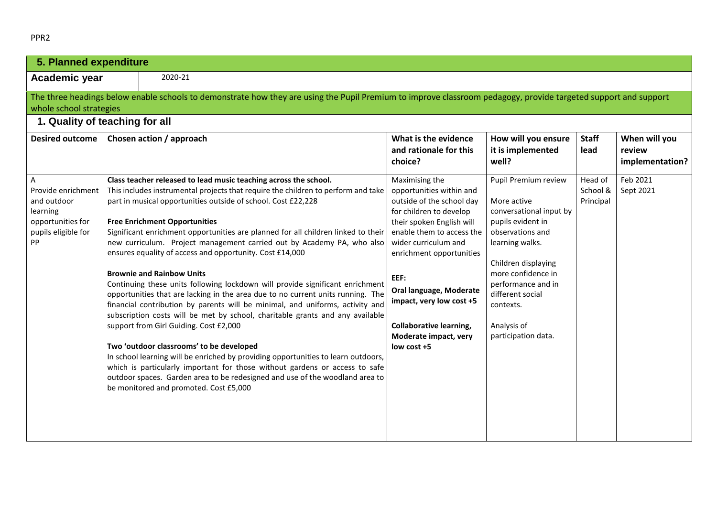|--|--|

| 5. Planned expenditure                                                                               |         |                                                                                                                                                                                                                                                                                                                                                                                                                                                                                                                                                                                                                                                                                                                                                                                                                                                                                                                                                                                                                                                                                                                                                                                                                                                         |                                                                                                                                                                                                                                                                                                                                                             |                                                                                                                                                                                                                                                                      |                                  |                                            |  |
|------------------------------------------------------------------------------------------------------|---------|---------------------------------------------------------------------------------------------------------------------------------------------------------------------------------------------------------------------------------------------------------------------------------------------------------------------------------------------------------------------------------------------------------------------------------------------------------------------------------------------------------------------------------------------------------------------------------------------------------------------------------------------------------------------------------------------------------------------------------------------------------------------------------------------------------------------------------------------------------------------------------------------------------------------------------------------------------------------------------------------------------------------------------------------------------------------------------------------------------------------------------------------------------------------------------------------------------------------------------------------------------|-------------------------------------------------------------------------------------------------------------------------------------------------------------------------------------------------------------------------------------------------------------------------------------------------------------------------------------------------------------|----------------------------------------------------------------------------------------------------------------------------------------------------------------------------------------------------------------------------------------------------------------------|----------------------------------|--------------------------------------------|--|
| Academic year                                                                                        | 2020-21 |                                                                                                                                                                                                                                                                                                                                                                                                                                                                                                                                                                                                                                                                                                                                                                                                                                                                                                                                                                                                                                                                                                                                                                                                                                                         |                                                                                                                                                                                                                                                                                                                                                             |                                                                                                                                                                                                                                                                      |                                  |                                            |  |
| whole school strategies<br>1. Quality of teaching for all                                            |         | The three headings below enable schools to demonstrate how they are using the Pupil Premium to improve classroom pedagogy, provide targeted support and support                                                                                                                                                                                                                                                                                                                                                                                                                                                                                                                                                                                                                                                                                                                                                                                                                                                                                                                                                                                                                                                                                         |                                                                                                                                                                                                                                                                                                                                                             |                                                                                                                                                                                                                                                                      |                                  |                                            |  |
| <b>Desired outcome</b>                                                                               |         | Chosen action / approach                                                                                                                                                                                                                                                                                                                                                                                                                                                                                                                                                                                                                                                                                                                                                                                                                                                                                                                                                                                                                                                                                                                                                                                                                                | What is the evidence<br>and rationale for this<br>choice?                                                                                                                                                                                                                                                                                                   | How will you ensure<br>it is implemented<br>well?                                                                                                                                                                                                                    | <b>Staff</b><br>lead             | When will you<br>review<br>implementation? |  |
| Α<br>Provide enrichment<br>and outdoor<br>learning<br>opportunities for<br>pupils eligible for<br>PP |         | Class teacher released to lead music teaching across the school.<br>This includes instrumental projects that require the children to perform and take<br>part in musical opportunities outside of school. Cost £22,228<br><b>Free Enrichment Opportunities</b><br>Significant enrichment opportunities are planned for all children linked to their<br>new curriculum. Project management carried out by Academy PA, who also<br>ensures equality of access and opportunity. Cost £14,000<br><b>Brownie and Rainbow Units</b><br>Continuing these units following lockdown will provide significant enrichment<br>opportunities that are lacking in the area due to no current units running. The<br>financial contribution by parents will be minimal, and uniforms, activity and<br>subscription costs will be met by school, charitable grants and any available<br>support from Girl Guiding. Cost £2,000<br>Two 'outdoor classrooms' to be developed<br>In school learning will be enriched by providing opportunities to learn outdoors,<br>which is particularly important for those without gardens or access to safe<br>outdoor spaces. Garden area to be redesigned and use of the woodland area to<br>be monitored and promoted. Cost £5,000 | Maximising the<br>opportunities within and<br>outside of the school day<br>for children to develop<br>their spoken English will<br>enable them to access the<br>wider curriculum and<br>enrichment opportunities<br>EEF:<br>Oral language, Moderate<br>impact, very low cost +5<br><b>Collaborative learning,</b><br>Moderate impact, very<br>low cost $+5$ | Pupil Premium review<br>More active<br>conversational input by<br>pupils evident in<br>observations and<br>learning walks.<br>Children displaying<br>more confidence in<br>performance and in<br>different social<br>contexts.<br>Analysis of<br>participation data. | Head of<br>School &<br>Principal | Feb 2021<br>Sept 2021                      |  |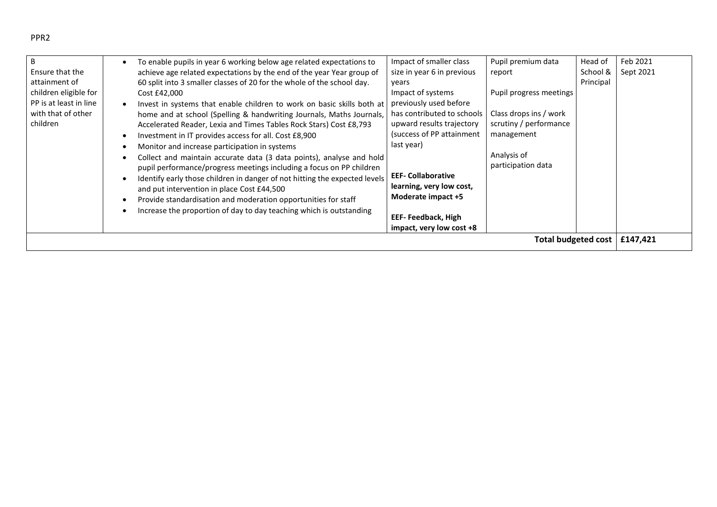| B                      | To enable pupils in year 6 working below age related expectations to   | Impact of smaller class    |
|------------------------|------------------------------------------------------------------------|----------------------------|
| Ensure that the        | achieve age related expectations by the end of the year Year group of  | size in year 6 in previous |
| attainment of          | 60 split into 3 smaller classes of 20 for the whole of the school day. | vears                      |
| children eligible for  | Cost £42,000                                                           | Impact of systems          |
| PP is at least in line | Invest in systems that enable children to work on basic skills both at | previously used before     |
| with that of other     | home and at school (Spelling & handwriting Journals, Maths Journals,   | has contributed to school  |
| children               | Accelerated Reader, Lexia and Times Tables Rock Stars) Cost £8,793     | upward results trajectory  |
|                        | Investment in IT provides access for all. Cost £8,900<br>$\bullet$     | (success of PP attainment  |
|                        | Monitor and increase participation in systems                          | last year)                 |

| ligible for             | Cost £42,000                                                                                                                                                                                                                                                                                                                                                                                                                                                                                                                                                 | Impact of systems                                                                                                                                         | Pupil progress meetings                                                                             |          |  |
|-------------------------|--------------------------------------------------------------------------------------------------------------------------------------------------------------------------------------------------------------------------------------------------------------------------------------------------------------------------------------------------------------------------------------------------------------------------------------------------------------------------------------------------------------------------------------------------------------|-----------------------------------------------------------------------------------------------------------------------------------------------------------|-----------------------------------------------------------------------------------------------------|----------|--|
| ast in line<br>of other | Invest in systems that enable children to work on basic skills both at<br>home and at school (Spelling & handwriting Journals, Maths Journals,<br>Accelerated Reader, Lexia and Times Tables Rock Stars) Cost £8,793<br>Investment in IT provides access for all. Cost £8,900<br>Monitor and increase participation in systems<br>Collect and maintain accurate data (3 data points), analyse and hold<br>pupil performance/progress meetings including a focus on PP children<br>Identify early those children in danger of not hitting the expected levels | previously used before<br>has contributed to schools<br>upward results trajectory<br>(success of PP attainment<br>last year)<br><b>EEF- Collaborative</b> | Class drops ins / work<br>scrutiny / performance<br>management<br>Analysis of<br>participation data |          |  |
|                         | and put intervention in place Cost £44,500<br>Provide standardisation and moderation opportunities for staff<br>Increase the proportion of day to day teaching which is outstanding                                                                                                                                                                                                                                                                                                                                                                          | learning, very low cost,<br>Moderate impact +5<br>EEF-Feedback, High<br>impact, very low cost +8                                                          |                                                                                                     |          |  |
|                         |                                                                                                                                                                                                                                                                                                                                                                                                                                                                                                                                                              |                                                                                                                                                           | <b>Total budgeted cost</b>                                                                          | £147,421 |  |

Pupil premium data

Head of School & Principal

Feb 2021 Sept 2021

report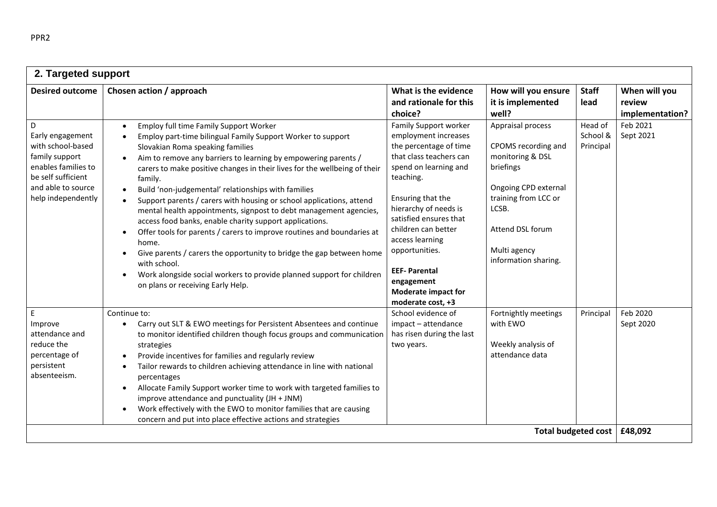| 2. Targeted support                                                                                                                                                                                                                                                                                                                                                                                                                                                                                                                                                                                                                                                                                                                                                                                                                                                                                                                              |                                                                                                                                                                                                                                                                                                                                                 |                                                                                                                                                                                                |                                  |                                            |  |
|--------------------------------------------------------------------------------------------------------------------------------------------------------------------------------------------------------------------------------------------------------------------------------------------------------------------------------------------------------------------------------------------------------------------------------------------------------------------------------------------------------------------------------------------------------------------------------------------------------------------------------------------------------------------------------------------------------------------------------------------------------------------------------------------------------------------------------------------------------------------------------------------------------------------------------------------------|-------------------------------------------------------------------------------------------------------------------------------------------------------------------------------------------------------------------------------------------------------------------------------------------------------------------------------------------------|------------------------------------------------------------------------------------------------------------------------------------------------------------------------------------------------|----------------------------------|--------------------------------------------|--|
| Chosen action / approach                                                                                                                                                                                                                                                                                                                                                                                                                                                                                                                                                                                                                                                                                                                                                                                                                                                                                                                         | What is the evidence<br>and rationale for this<br>choice?                                                                                                                                                                                                                                                                                       | How will you ensure<br>it is implemented<br>well?                                                                                                                                              | <b>Staff</b><br>lead             | When will you<br>review<br>implementation? |  |
| <b>Employ full time Family Support Worker</b><br>$\bullet$<br>Employ part-time bilingual Family Support Worker to support<br>Slovakian Roma speaking families<br>Aim to remove any barriers to learning by empowering parents /<br>carers to make positive changes in their lives for the wellbeing of their<br>family.<br>Build 'non-judgemental' relationships with families<br>$\bullet$<br>Support parents / carers with housing or school applications, attend<br>$\bullet$<br>mental health appointments, signpost to debt management agencies,<br>access food banks, enable charity support applications.<br>Offer tools for parents / carers to improve routines and boundaries at<br>$\bullet$<br>home.<br>Give parents / carers the opportunity to bridge the gap between home<br>$\bullet$<br>with school.<br>Work alongside social workers to provide planned support for children<br>$\bullet$<br>on plans or receiving Early Help. | Family Support worker<br>employment increases<br>the percentage of time<br>that class teachers can<br>spend on learning and<br>teaching.<br>Ensuring that the<br>hierarchy of needs is<br>satisfied ensures that<br>children can better<br>access learning<br>opportunities.<br><b>EEF-Parental</b><br>engagement<br><b>Moderate impact for</b> | Appraisal process<br>CPOMS recording and<br>monitoring & DSL<br>briefings<br>Ongoing CPD external<br>training from LCC or<br>LCSB.<br>Attend DSL forum<br>Multi agency<br>information sharing. | Head of<br>School &<br>Principal | Feb 2021<br>Sept 2021                      |  |
| Continue to:<br>Carry out SLT & EWO meetings for Persistent Absentees and continue<br>to monitor identified children though focus groups and communication<br>strategies<br>Provide incentives for families and regularly review<br>Tailor rewards to children achieving attendance in line with national<br>percentages<br>Allocate Family Support worker time to work with targeted families to<br>$\bullet$<br>improve attendance and punctuality (JH + JNM)<br>Work effectively with the EWO to monitor families that are causing<br>$\bullet$<br>concern and put into place effective actions and strategies                                                                                                                                                                                                                                                                                                                                | School evidence of<br>impact - attendance<br>has risen during the last<br>two years.                                                                                                                                                                                                                                                            | Fortnightly meetings<br>with EWO<br>Weekly analysis of<br>attendance data                                                                                                                      | Principal                        | Feb 2020<br>Sept 2020                      |  |
|                                                                                                                                                                                                                                                                                                                                                                                                                                                                                                                                                                                                                                                                                                                                                                                                                                                                                                                                                  |                                                                                                                                                                                                                                                                                                                                                 | moderate cost, +3                                                                                                                                                                              |                                  |                                            |  |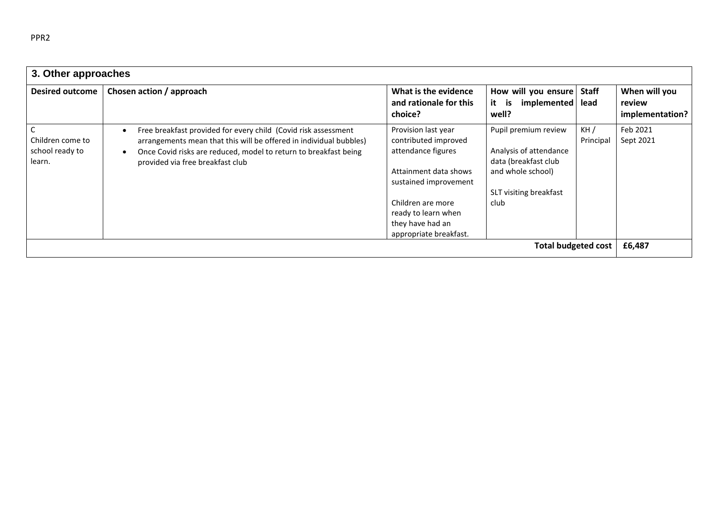| 3. Other approaches                           |                                                                                                                                                                                                                                              |                                                                                                                                                                                                               |                                                                                                                               |                      |                                            |
|-----------------------------------------------|----------------------------------------------------------------------------------------------------------------------------------------------------------------------------------------------------------------------------------------------|---------------------------------------------------------------------------------------------------------------------------------------------------------------------------------------------------------------|-------------------------------------------------------------------------------------------------------------------------------|----------------------|--------------------------------------------|
| <b>Desired outcome</b>                        | Chosen action / approach                                                                                                                                                                                                                     | What is the evidence<br>and rationale for this<br>choice?                                                                                                                                                     | How will you ensure<br>it<br>implemented<br>is<br>well?                                                                       | <b>Staff</b><br>lead | When will you<br>review<br>implementation? |
| Children come to<br>school ready to<br>learn. | Free breakfast provided for every child (Covid risk assessment<br>arrangements mean that this will be offered in individual bubbles)<br>Once Covid risks are reduced, model to return to breakfast being<br>provided via free breakfast club | Provision last year<br>contributed improved<br>attendance figures<br>Attainment data shows<br>sustained improvement<br>Children are more<br>ready to learn when<br>they have had an<br>appropriate breakfast. | Pupil premium review<br>Analysis of attendance<br>data (breakfast club<br>and whole school)<br>SLT visiting breakfast<br>club | KH/<br>Principal     | Feb 2021<br>Sept 2021                      |
|                                               |                                                                                                                                                                                                                                              |                                                                                                                                                                                                               | <b>Total budgeted cost</b>                                                                                                    |                      | £6,487                                     |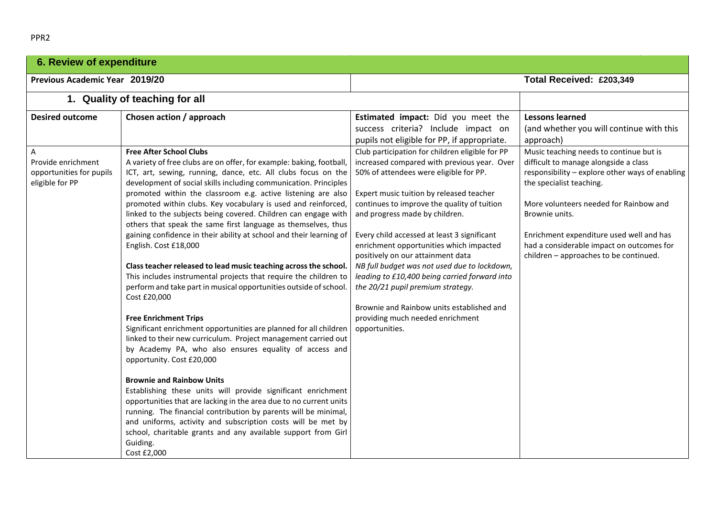| <b>6. Review of expenditure</b>                                                                  |                                                                                                                                                                                                                                                                                                                                                                                                                                                                                                                                                                                                                                                                                                                                                                                                                                                                                                                                                                                                                                                                                                                                                                                                                                                                                                                  |                                                                                                                                                                                                                                                                                                                                                                                                                                                                                                                                                                                                                                                                                                                                                                           |                                                                                                                                                                                                                                                                                                                                                                                                                                                   |  |
|--------------------------------------------------------------------------------------------------|------------------------------------------------------------------------------------------------------------------------------------------------------------------------------------------------------------------------------------------------------------------------------------------------------------------------------------------------------------------------------------------------------------------------------------------------------------------------------------------------------------------------------------------------------------------------------------------------------------------------------------------------------------------------------------------------------------------------------------------------------------------------------------------------------------------------------------------------------------------------------------------------------------------------------------------------------------------------------------------------------------------------------------------------------------------------------------------------------------------------------------------------------------------------------------------------------------------------------------------------------------------------------------------------------------------|---------------------------------------------------------------------------------------------------------------------------------------------------------------------------------------------------------------------------------------------------------------------------------------------------------------------------------------------------------------------------------------------------------------------------------------------------------------------------------------------------------------------------------------------------------------------------------------------------------------------------------------------------------------------------------------------------------------------------------------------------------------------------|---------------------------------------------------------------------------------------------------------------------------------------------------------------------------------------------------------------------------------------------------------------------------------------------------------------------------------------------------------------------------------------------------------------------------------------------------|--|
| Previous Academic Year 2019/20                                                                   |                                                                                                                                                                                                                                                                                                                                                                                                                                                                                                                                                                                                                                                                                                                                                                                                                                                                                                                                                                                                                                                                                                                                                                                                                                                                                                                  |                                                                                                                                                                                                                                                                                                                                                                                                                                                                                                                                                                                                                                                                                                                                                                           | Total Received: £203,349                                                                                                                                                                                                                                                                                                                                                                                                                          |  |
|                                                                                                  | 1. Quality of teaching for all                                                                                                                                                                                                                                                                                                                                                                                                                                                                                                                                                                                                                                                                                                                                                                                                                                                                                                                                                                                                                                                                                                                                                                                                                                                                                   |                                                                                                                                                                                                                                                                                                                                                                                                                                                                                                                                                                                                                                                                                                                                                                           |                                                                                                                                                                                                                                                                                                                                                                                                                                                   |  |
| <b>Desired outcome</b><br>А<br>Provide enrichment<br>opportunities for pupils<br>eligible for PP | Chosen action / approach<br><b>Free After School Clubs</b><br>A variety of free clubs are on offer, for example: baking, football,<br>ICT, art, sewing, running, dance, etc. All clubs focus on the<br>development of social skills including communication. Principles<br>promoted within the classroom e.g. active listening are also<br>promoted within clubs. Key vocabulary is used and reinforced,<br>linked to the subjects being covered. Children can engage with<br>others that speak the same first language as themselves, thus<br>gaining confidence in their ability at school and their learning of<br>English. Cost £18,000<br>Class teacher released to lead music teaching across the school.<br>This includes instrumental projects that require the children to<br>perform and take part in musical opportunities outside of school.<br>Cost £20,000<br><b>Free Enrichment Trips</b><br>Significant enrichment opportunities are planned for all children<br>linked to their new curriculum. Project management carried out<br>by Academy PA, who also ensures equality of access and<br>opportunity. Cost £20,000<br><b>Brownie and Rainbow Units</b><br>Establishing these units will provide significant enrichment<br>opportunities that are lacking in the area due to no current units | Estimated impact: Did you meet the<br>success criteria? Include impact on<br>pupils not eligible for PP, if appropriate.<br>Club participation for children eligible for PP<br>increased compared with previous year. Over<br>50% of attendees were eligible for PP.<br>Expert music tuition by released teacher<br>continues to improve the quality of tuition<br>and progress made by children.<br>Every child accessed at least 3 significant<br>enrichment opportunities which impacted<br>positively on our attainment data<br>NB full budget was not used due to lockdown,<br>leading to £10,400 being carried forward into<br>the 20/21 pupil premium strategy.<br>Brownie and Rainbow units established and<br>providing much needed enrichment<br>opportunities. | <b>Lessons learned</b><br>(and whether you will continue with this<br>approach)<br>Music teaching needs to continue but is<br>difficult to manage alongside a class<br>responsibility - explore other ways of enabling<br>the specialist teaching.<br>More volunteers needed for Rainbow and<br>Brownie units.<br>Enrichment expenditure used well and has<br>had a considerable impact on outcomes for<br>children - approaches to be continued. |  |
|                                                                                                  | running. The financial contribution by parents will be minimal,<br>and uniforms, activity and subscription costs will be met by<br>school, charitable grants and any available support from Girl<br>Guiding.<br>Cost £2,000                                                                                                                                                                                                                                                                                                                                                                                                                                                                                                                                                                                                                                                                                                                                                                                                                                                                                                                                                                                                                                                                                      |                                                                                                                                                                                                                                                                                                                                                                                                                                                                                                                                                                                                                                                                                                                                                                           |                                                                                                                                                                                                                                                                                                                                                                                                                                                   |  |

PPR2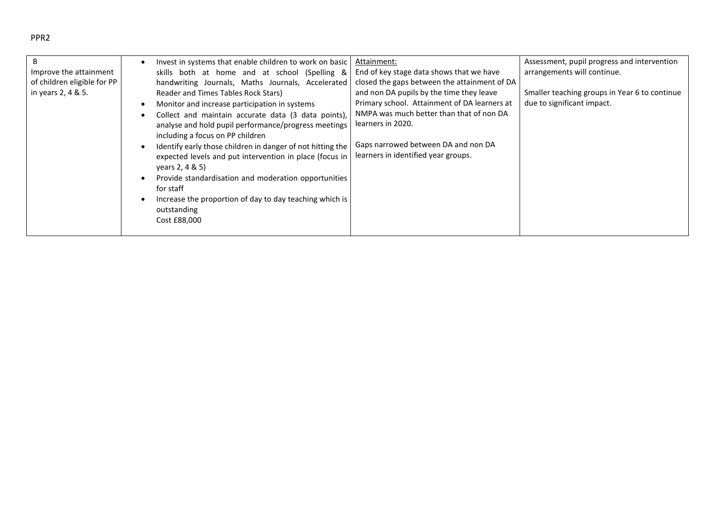## PPR2

| В<br>Improve the attainment<br>of children eligible for PP<br>in years 2, 4 & 5. | Invest in systems that enable children to work on basic<br>skills both at home and at school (Spelling &<br>handwriting Journals, Maths Journals, Accelerated<br>Reader and Times Tables Rock Stars)<br>Monitor and increase participation in systems<br>Collect and maintain accurate data (3 data points),<br>analyse and hold pupil performance/progress meetings<br>including a focus on PP children<br>Identify early those children in danger of not hitting the<br>expected levels and put intervention in place (focus in<br>years 2, 4 & 5)<br>Provide standardisation and moderation opportunities<br>for staff<br>Increase the proportion of day to day teaching which is<br>outstanding<br>Cost £88,000 | Attainment:<br>End of key stage data shows that we have<br>closed the gaps between the attainment of DA<br>and non DA pupils by the time they leave<br>Primary school. Attainment of DA learners at<br>NMPA was much better than that of non DA<br>learners in 2020.<br>Gaps narrowed between DA and non DA<br>learners in identified year groups. | Assessment, pupil progress and intervention<br>arrangements will continue.<br>Smaller teaching groups in Year 6 to continue<br>due to significant impact. |
|----------------------------------------------------------------------------------|---------------------------------------------------------------------------------------------------------------------------------------------------------------------------------------------------------------------------------------------------------------------------------------------------------------------------------------------------------------------------------------------------------------------------------------------------------------------------------------------------------------------------------------------------------------------------------------------------------------------------------------------------------------------------------------------------------------------|----------------------------------------------------------------------------------------------------------------------------------------------------------------------------------------------------------------------------------------------------------------------------------------------------------------------------------------------------|-----------------------------------------------------------------------------------------------------------------------------------------------------------|
|----------------------------------------------------------------------------------|---------------------------------------------------------------------------------------------------------------------------------------------------------------------------------------------------------------------------------------------------------------------------------------------------------------------------------------------------------------------------------------------------------------------------------------------------------------------------------------------------------------------------------------------------------------------------------------------------------------------------------------------------------------------------------------------------------------------|----------------------------------------------------------------------------------------------------------------------------------------------------------------------------------------------------------------------------------------------------------------------------------------------------------------------------------------------------|-----------------------------------------------------------------------------------------------------------------------------------------------------------|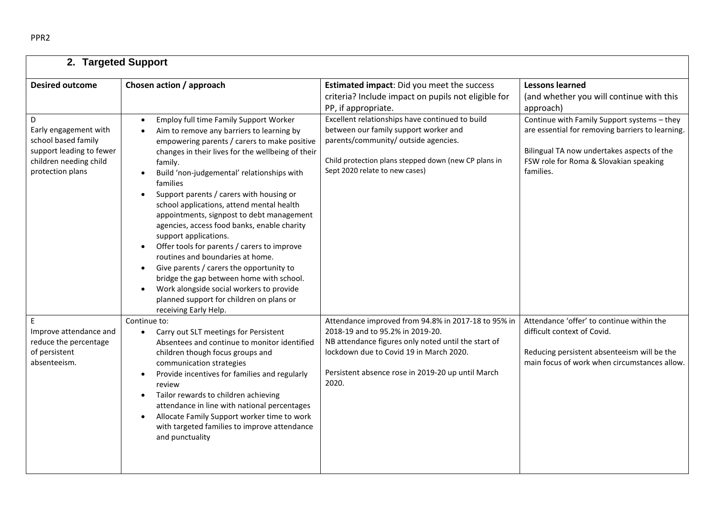| 2. Targeted Support                                                                                                         |                                                                                                                                                                                                                                                                                                                                                                                                                                                                                                                                                                                                                                                                                                                                                                                                                                                       |                                                                                                                                                                                                                                                         |                                                                                                                                                                                                      |  |  |
|-----------------------------------------------------------------------------------------------------------------------------|-------------------------------------------------------------------------------------------------------------------------------------------------------------------------------------------------------------------------------------------------------------------------------------------------------------------------------------------------------------------------------------------------------------------------------------------------------------------------------------------------------------------------------------------------------------------------------------------------------------------------------------------------------------------------------------------------------------------------------------------------------------------------------------------------------------------------------------------------------|---------------------------------------------------------------------------------------------------------------------------------------------------------------------------------------------------------------------------------------------------------|------------------------------------------------------------------------------------------------------------------------------------------------------------------------------------------------------|--|--|
| <b>Desired outcome</b>                                                                                                      | Chosen action / approach                                                                                                                                                                                                                                                                                                                                                                                                                                                                                                                                                                                                                                                                                                                                                                                                                              | Estimated impact: Did you meet the success<br>criteria? Include impact on pupils not eligible for<br>PP, if appropriate.                                                                                                                                | <b>Lessons learned</b><br>(and whether you will continue with this<br>approach)                                                                                                                      |  |  |
| D<br>Early engagement with<br>school based family<br>support leading to fewer<br>children needing child<br>protection plans | Employ full time Family Support Worker<br>Aim to remove any barriers to learning by<br>$\bullet$<br>empowering parents / carers to make positive<br>changes in their lives for the wellbeing of their<br>family.<br>Build 'non-judgemental' relationships with<br>$\bullet$<br>families<br>Support parents / carers with housing or<br>$\bullet$<br>school applications, attend mental health<br>appointments, signpost to debt management<br>agencies, access food banks, enable charity<br>support applications.<br>Offer tools for parents / carers to improve<br>$\bullet$<br>routines and boundaries at home.<br>Give parents / carers the opportunity to<br>$\bullet$<br>bridge the gap between home with school.<br>Work alongside social workers to provide<br>$\bullet$<br>planned support for children on plans or<br>receiving Early Help. | Excellent relationships have continued to build<br>between our family support worker and<br>parents/community/ outside agencies.<br>Child protection plans stepped down (new CP plans in<br>Sept 2020 relate to new cases)                              | Continue with Family Support systems - they<br>are essential for removing barriers to learning.<br>Bilingual TA now undertakes aspects of the<br>FSW role for Roma & Slovakian speaking<br>families. |  |  |
| E<br>Improve attendance and<br>reduce the percentage<br>of persistent<br>absenteeism.                                       | Continue to:<br>Carry out SLT meetings for Persistent<br>$\bullet$<br>Absentees and continue to monitor identified<br>children though focus groups and<br>communication strategies<br>Provide incentives for families and regularly<br>$\bullet$<br>review<br>Tailor rewards to children achieving<br>$\bullet$<br>attendance in line with national percentages<br>Allocate Family Support worker time to work<br>$\bullet$<br>with targeted families to improve attendance<br>and punctuality                                                                                                                                                                                                                                                                                                                                                        | Attendance improved from 94.8% in 2017-18 to 95% in<br>2018-19 and to 95.2% in 2019-20.<br>NB attendance figures only noted until the start of<br>lockdown due to Covid 19 in March 2020.<br>Persistent absence rose in 2019-20 up until March<br>2020. | Attendance 'offer' to continue within the<br>difficult context of Covid.<br>Reducing persistent absenteeism will be the<br>main focus of work when circumstances allow.                              |  |  |